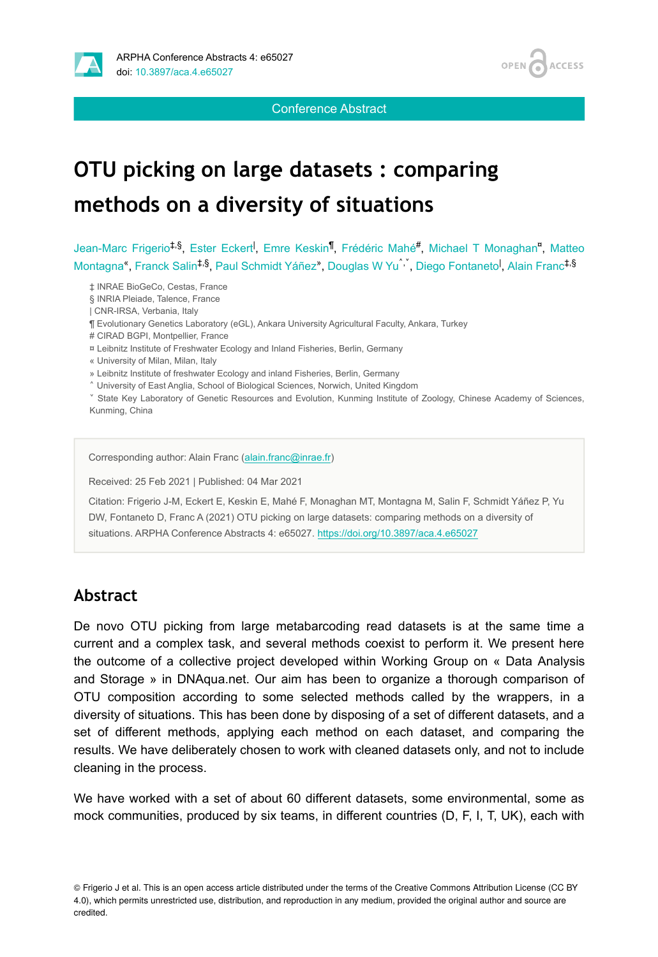

**ACCESS OPEN** 

Conference Abstract

# **OTU picking on large datasets : comparing methods on a diversity of situations**

Jean-Marc Frigerio<sup>‡,§</sup>, Ester Eckert<sup>I</sup>, Emre Keskin<sup>¶</sup>, Frédéric Mahé<sup>#</sup>, Michael T Monaghan<sup>n</sup>, Matteo Montagna<sup>«</sup>, Franck Salin<sup>‡,§</sup>, Paul Schmidt Yáñez», Douglas W Yu , Diego Fontaneto<sup>l</sup>, Alain Franc<sup>‡,§</sup>

‡ INRAE BioGeCo, Cestas, France

§ INRIA Pleiade, Talence, France

| CNR-IRSA, Verbania, Italy

¶ Evolutionary Genetics Laboratory (eGL), Ankara University Agricultural Faculty, Ankara, Turkey

# CIRAD BGPI, Montpellier, France

¤ Leibnitz Institute of Freshwater Ecology and Inland Fisheries, Berlin, Germany

« University of Milan, Milan, Italy

» Leibnitz Institute of freshwater Ecology and inland Fisheries, Berlin, Germany

˄ University of East Anglia, School of Biological Sciences, Norwich, United Kingdom

˅ State Key Laboratory of Genetic Resources and Evolution, Kunming Institute of Zoology, Chinese Academy of Sciences, Kunming, China

Corresponding author: Alain Franc ([alain.franc@inrae.fr](mailto:alain.franc@inrae.fr))

Received: 25 Feb 2021 | Published: 04 Mar 2021

Citation: Frigerio J-M, Eckert E, Keskin E, Mahé F, Monaghan MT, Montagna M, Salin F, Schmidt Yáñez P, Yu DW, Fontaneto D, Franc A (2021) OTU picking on large datasets: comparing methods on a diversity of situations. ARPHA Conference Abstracts 4: e65027. <https://doi.org/10.3897/aca.4.e65027>

## **Abstract**

De novo OTU picking from large metabarcoding read datasets is at the same time a current and a complex task, and several methods coexist to perform it. We present here the outcome of a collective project developed within Working Group on « Data Analysis and Storage » in DNAqua.net. Our aim has been to organize a thorough comparison of OTU composition according to some selected methods called by the wrappers, in a diversity of situations. This has been done by disposing of a set of different datasets, and a set of different methods, applying each method on each dataset, and comparing the results. We have deliberately chosen to work with cleaned datasets only, and not to include cleaning in the process.

We have worked with a set of about 60 different datasets, some environmental, some as mock communities, produced by six teams, in different countries (D, F, I, T, UK), each with

© Frigerio J et al. This is an open access article distributed under the terms of the Creative Commons Attribution License (CC BY 4.0), which permits unrestricted use, distribution, and reproduction in any medium, provided the original author and source are credited.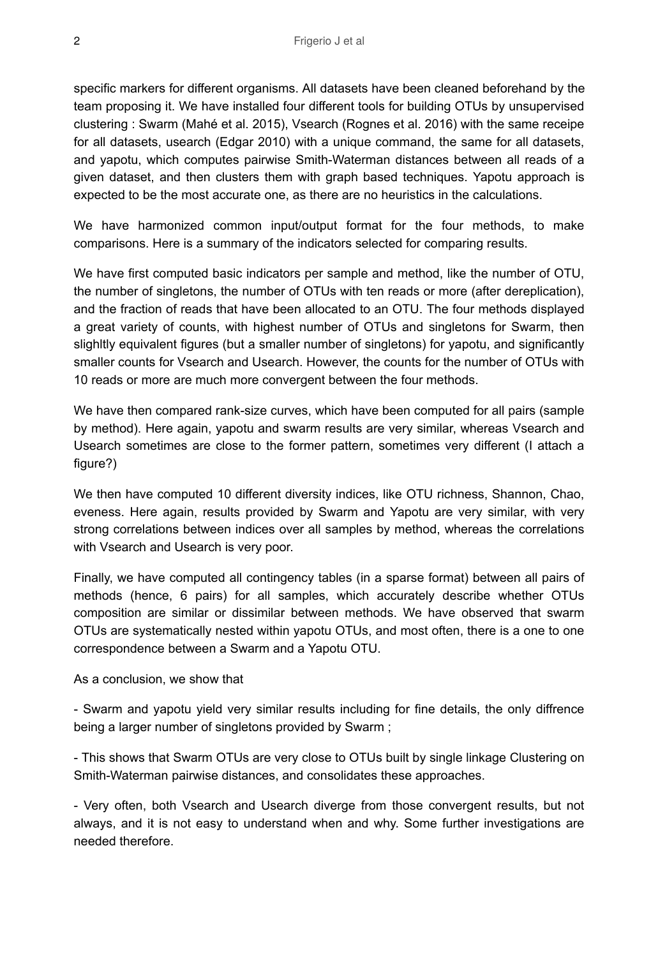specific markers for different organisms. All datasets have been cleaned beforehand by the team proposing it. We have installed four different tools for building OTUs by unsupervised clustering : Swarm (Mahé et al. 2015), Vsearch (Rognes et al. 2016) with the same receipe for all datasets, usearch (Edgar 2010) with a unique command, the same for all datasets, and yapotu, which computes pairwise Smith-Waterman distances between all reads of a given dataset, and then clusters them with graph based techniques. Yapotu approach is expected to be the most accurate one, as there are no heuristics in the calculations.

We have harmonized common input/output format for the four methods, to make comparisons. Here is a summary of the indicators selected for comparing results.

We have first computed basic indicators per sample and method, like the number of OTU, the number of singletons, the number of OTUs with ten reads or more (after dereplication), and the fraction of reads that have been allocated to an OTU. The four methods displayed a great variety of counts, with highest number of OTUs and singletons for Swarm, then slighltly equivalent figures (but a smaller number of singletons) for yapotu, and significantly smaller counts for Vsearch and Usearch. However, the counts for the number of OTUs with 10 reads or more are much more convergent between the four methods.

We have then compared rank-size curves, which have been computed for all pairs (sample by method). Here again, yapotu and swarm results are very similar, whereas Vsearch and Usearch sometimes are close to the former pattern, sometimes very different (I attach a figure?)

We then have computed 10 different diversity indices, like OTU richness, Shannon, Chao, eveness. Here again, results provided by Swarm and Yapotu are very similar, with very strong correlations between indices over all samples by method, whereas the correlations with Vsearch and Usearch is very poor.

Finally, we have computed all contingency tables (in a sparse format) between all pairs of methods (hence, 6 pairs) for all samples, which accurately describe whether OTUs composition are similar or dissimilar between methods. We have observed that swarm OTUs are systematically nested within yapotu OTUs, and most often, there is a one to one correspondence between a Swarm and a Yapotu OTU.

As a conclusion, we show that

- Swarm and yapotu yield very similar results including for fine details, the only diffrence being a larger number of singletons provided by Swarm ;

- This shows that Swarm OTUs are very close to OTUs built by single linkage Clustering on Smith-Waterman pairwise distances, and consolidates these approaches.

- Very often, both Vsearch and Usearch diverge from those convergent results, but not always, and it is not easy to understand when and why. Some further investigations are needed therefore.